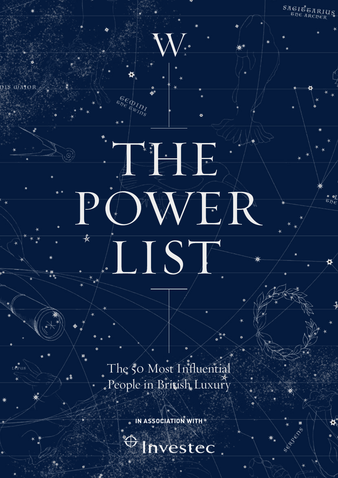The 50 Most Influential People in British, Luxury

.1

ARANTHERE

IST

DWER

DIS OATO

 $\begin{array}{c} SAGI\ddot{\sigma}_{GARIUS} \\ \hline \vspace{-0.2cm} \vspace{-0.2cm} \vspace{-0.2cm} \end{array}$ 

Septence

**IN ASSOCIATION WITH** 

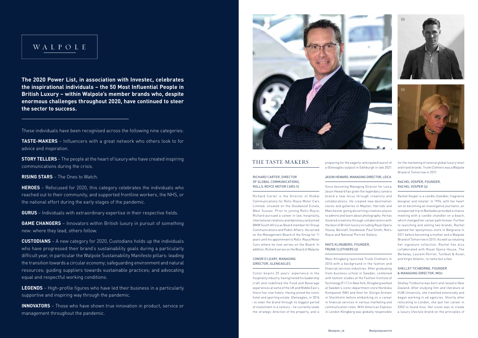# WALPOLE

**The 2020 Power List, in association with Investec, celebrates the inspirational individuals – the 50 Most Influential People in British Luxury – within Walpole's member brands who, despite enormous challenges throughout 2020, have continued to steer the sector to success.**

These individuals have been recognised across the following nine categories:

**TASTE-MAKERS** – Influencers with a great network who others look to for advice and inspiration.

**GAME CHANGERS** – Innovators within British luxury in pursuit of something new: where they lead, others follow.

**STORY TELLERS** – The people at the heart of luxury who have created inspiring communications during the crisis.

**RISING STARS** – The Ones to Watch.

**HEROES** – Refocused for 2020, this category celebrates the individuals who reached out to their community, and supported frontline workers, the NHS, or the national effort during the early stages of the pandemic.

**GURUS** – Individuals with extraordinary expertise in their respective fields.

**CUSTODIANS** – A new category for 2020, Custodians holds up the individuals who have progressed their brand's sustainability goals during a particularly difficult year, in particular the Walpole Sustainability Manifesto pillars: leading the transition towards a circular economy; safeguarding environment and natural resources; guiding suppliers towards sustainable practices; and advocating equal and respectful working conditions.

**LEGENDS** – High-profile figures who have led their business in a particularly supportive and inspiring way through the pandemic.

**INNOVATORS** – Those who have shown true innovation in product, service or management throughout the pandemic.

# THE TASTE-MAKERS

#### MATS KLINGBERG, FOUNDER TRUNK CLOTHIERS (2)

#### RICHARD CARTER, DIRECTOR OF GLOBAL COMMUNICATIONS, ROLLS-ROYCE MOTOR CARS (1)

Richard Carter is the Director of Global Communications for Rolls-Royce Motor Cars Limited, situated on the Goodwood Estate, West Sussex. Prior to joining Rolls-Royce, Richard pursued a career in law, hospitality, international relations and diplomacy and joined BMW South Africa as Board member for Group Communications and Public Affairs. He served on the Management Board of the Group for 11 years until his appointment to Rolls-Royce Motor Cars where he now serves on the Board. In addition, Richard serves on the Board of Walpole.

#### CONOR O'LEARY, MANAGING DIRECTOR, GLENEAGLES

#### SHELLEY TICHBORNE, FOUNDER & MANAGING DIRECTOR, MOU

Conor boasts 25 years' experience in the hospitality industry, having honed his leadership craft and redefined the Food and Beverage experiences at some of the UK and Middle East's finest five-star hotels. Having joined the iconic hotel and sporting estate, Gleneagles, in 2016 – to steer the brand through its biggest period of investment in a century – he currently leads the strategic direction of the property, and is

preparing for the eagerly-anticipated launch of a Gleneagles outpost in Edinburgh in late 2021.

## JASON HEWARD, MANAGING DIRECTOR, LEICA

Since becoming Managing Director for Leica, Jason Heward has given the legendary camera brand a new focus through creativity and collaborations. He created new destination stores and galleries in Mayfair, Harrods and Manchester giving discerning creatives places to admire and learn about photography. He has fostered creativity through collaborations with the best of British luxury including Royal Opera House, Belstaff, Goodwood, Paul Smith, Rolls-Royce and National Portrait Gallery.

Mats Klingberg launched Trunk Clothiers in 2010 with a background in the fashion and financial services industries. After graduating from business school in Sweden, combined with fashion studies at the Fashion Institute of Technology (F.I.T.) in New York, Klingberg worked at Sweden's iconic department store Nordiska Kompaniet (NK) and then for Giorgio Armani in Stockholm before embarking on a career in financial services in various marketing and communication roles. With American Express in London Klingberg was globally responsible

for the marketing of several global luxury retail and travel brands. Trunk Clothiers was a Walpole Brand of Tomorrow in 2011.

#### RACHEL VOSPER, FOUNDER, RACHEL VOSPER (3)

Rachel Vosper is a candle chandler, fragrance designer and retailer. In 1994, with her heart set on becoming an investigative journalist, an unexpected trip to Barbados provided a chance meeting with a candle chandler on a beach, which changed her career path forever. Further to launching and selling two brands, Rachel opened her eponymous store in Belgravia in 2011 before becoming a mother and a Walpole Brand of Tomorrow in 2015. As well as retailing her signature collection, Rachel has also collaborated with Royal Opera House, The Berkeley, Laurent-Perrier, Turnbull & Asser, and Virgin Atlantic, to name but a few.

Shelley Tichborne was born and raised in New Zealand. After studying film and literature at VUW University, she travelled extensively and began working in ad agencies. Shortly after relocating to London, she quit her career in 2002 to found mou. Her vision was to create a luxury lifestyle brand on the principles of





(2)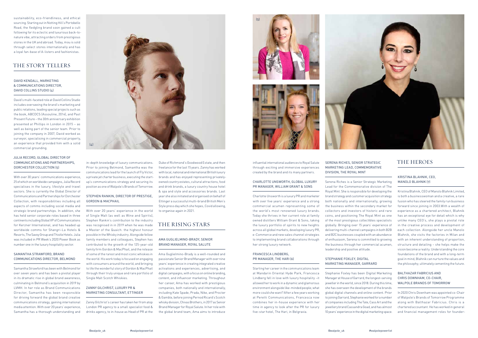

influential international audiences to Royal Salute through exciting and immersive experiences created by the brand and its many partners.

#### CHARLOTTE UNSWORTH, GLOBAL LUXURY PR MANAGER, WILLIAM GRANT & SONS

Charlotte Unsworth is a luxury PR and marketer with over five years' experience and a strong commercial acumen representing some of the world's most renowned luxury brands. Today she thrives in her current role at family owned distillers William Grant & Sons, taking the luxury portfolio of spirits to new heights across all global markets, developing luxury PR, e-Commerce and new sales channel strategies to implementing brand collaborations through her strong luxury network.

#### FRANCESCA LINDBERG, PR MANAGER, THE HARI (6)

Starting her career in the communications team at Mandarin Oriental Hyde Park, Francesca Lindberg fell in love with luxury hospitality –it allowed her to work in a dynamic and glamorous environment alongside like-minded people; what more could she want? After a few years working at Peretti Communications, Francesca now combines her in-house experience with her time in agency to look after the PR for luxury five-star hotel, The Hari, in Belgravia.

### SERENA RICHES, SENIOR STRATEGIC MARKETING LEAD, COMMEMORATIVE DIVISION, THE ROYAL MINT

Serena Riches is a Senior Strategic Marketing Lead for the Commemorative division of The Royal Mint. She is responsible for developing the brand strategy and customer acquisition strategy both nationally and internationally, growing the business within the secondary market for collectors and investors of historic and rare coins, and positioning The Royal Mint as one of the most prestigious collectibles specialists globally. Bringing over 15 years' experience of delivering multi-channel campaigns in both B2B and B2C businesses coupled with an abundance of enthusiasm, Serena is committed to growing the business through her commercial acumen, leadership and positive attitude.

sustainability, eco-friendliness, and ethical sourcing. Starting out in Notting Hill's Portobello Road, the fledgling brand soon gained a cult following for its eclectic and luxurious back-tonature vibe, attracting orders from prestigious stores in the UK and abroad. Today, mou is sold through select stores internationally and has a loyal fan-base of A-listers and fashionistas.

### STEPHANIE FOXLEY, DIGITAL MARKETING MANAGER, GARRARD

Stephanie Foxley has been Digital Marketing Manager at House of Garrard, the longest-serving jeweller in the world, since 2018. During this time, she has overseen the development of the brands global digital channels and online content. Prior to joining Garrard, Stephanie worked for a number of companies including The Tate, Cass Art and the jewellery brand Cassandra Goad, and has almost 10 years' experience in the digital marketing space.

# THE HEROES

#### KRISTINA BLAHNIK, CEO, MANOLO BLAHNIK (7)

Kristina Blahnik, CEO of Manolo Blahnik Limited, is both a businesswoman and a creative, a rare fusion who has steered the family run business forward since joining in 2003.With a wealth of experience as a chartered architect, Blahnik has an exceptional eye for detail which is why unlike many CEO's, she plays a pivotal role in the creative process and development of each collection. Alongside her uncle Manolo Blahnik, she visits the factories in Milan and with an inherent understanding of proportion, structure and detailing – she helps make the vision become a reality. Understanding the core foundations of the brand and with a long-term goal in mind, Blahnik can nurture the values and the philosophy; ultimately cementing the future.

### STEPHEN RANKIN, DIRECTOR OF PRESTIGE GORDON & MACPHAIL

#### BALTHAZAR FABRICIUS AND CHRIS DOWNHAM, CO-CHAIR, WALPOLE BRANDS OF TOMORROW

#### ZANNY GILCHRIST, LUXURY PR & MARKETING CONSULTANT, ETTINGER

In 2020 Chris Downham was appointed co-Chair of Walpole's Brands of Tomorrow Programme along with Balthazar Fabricius. Chris is a chartered accountant. He has worked in general and financial management roles for founder-





#### AMA GUGLIELMINO-BRADY, SENIOR BRAND MANAGER, ROYAL SALUTE

# THE STORY TELLERS

#### DAVID KENDALL, MARKETING & COMMUNICATIONS DIRECTOR, DAVID COLLINS STUDIO (4)

David's multi-faceted role at David Collins Studio includes overseeing the brand's marketing and public relations, leading special projects such as the book, ABCDCS (Assouline, 2014), and Past Present Future – the 30th anniversary exhibition presented at Phillips in London in 2015 – as well as being part of the senior team. Prior to joining the company in 2007, David worked as surveyor, specialising in commercial property, an experience that provided him with a solid commercial grounding.

#### JULIA RECORD, GLOBAL DIRECTOR OF COMMUNICATIONS AND PARTNERSHIPS, DORCHESTER COLLECTION (5)

With over 30 years' communications experience, 25 of which on worldwide campaigns, Julia Record specialises in the luxury, lifestyle and travel sectors. She is currently the Global Director of Communications and Partnerships for Dorchester Collection, with responsibilities including all aspects of comms including social media and strategic brand partnerships. In addition, she has held senior corporate roles based in three continents including Global VP of Communications for Kerzner International, and has headed up worldwide comms for Shangri-La Hotels & Resorts, The Savoy Group and Thistle Hotels. Julia was included in PR Week's 2020 Power Book as number one in the luxury hospitality sector.

#### SAMANTHA STRAWFORD, BRAND COMMUNICATIONS DIRECTOR, BELMOND

Samantha Strawford has been with Belmond for over seven years and has been a pivotal player in its dramatic rise in global brand awareness, culminating in Belmond's acquisition in 2019 by LVMH. In her role as Brand Communications Director, Samantha has been responsible for driving forward the global brand creative communications strategy, gaining international media attention. With over 20 years' experience, Samantha has a thorough understanding and in-depth knowledge of luxury communications. Prior to joining Belmond, Samantha was the communications lead for the launch of Fly Victor, a private jet charter business, executing the startup's communications strategy and securing its position as one of Walpole's Brands of Tomorrow.

With over 20 years' experience in the world of Single Malt (as well as Wine and Spirits), Stephen Rankin's contribution to the industry was recognised in in 2019 when he was made a Master of the Quaich: the highest honour possible in the Whisky industry. Alongside fellow family members and colleagues, Stephen has contributed to the growth of the 125-year-old family firm Gordon & MacPhail, and the release of some of the rarest and most iconic whiskies in the world. His work today is focused on engaging with consumers around the world, and bringing to life the wonderful story of Gordon & MacPhail through their truly unique and rare portfolio of Single Malt Scotch Whiskies.

Zanny Gilchrist's career has taken her from atop London PR agency to a small specialist food & drinks agency, to in-house as Head of PR at the Duke of Richmond's Goodwood Estate, and then freelance for the last 15 years. Zanny has worked with local, national and international British luxury brands and has enjoyed representing privatelyowned country estates, cultural attractions, food and drink brands, a luxury country house hotel & spa and style and accessories brands. Last year she also initiated and organised on behalf of Ettinger a successful multi-brand British Men's Style press day which she hopes, Covid allowing, to organise again in 2021.

# THE RISING STARS

Ama Guglielmino-Brady is a well-rounded and passionate Senior Brand Manager with over nine years' experience in creating integrated creative activations and experiences, advertising, and digital campaigns, with a focus on online branding, content, and influencer marketing. Throughout her career, Ama has worked with prestigious companies, both nationally and internationally, including Kate Spade, Prada, Nike, and Procter & Gamble, before joining Pernod Ricard's Scotch whisky division, Chivas Brothers, in 2017 as Senior Brand Manager for Royal Salute. In her role with the global brand team, Ama aims to introduce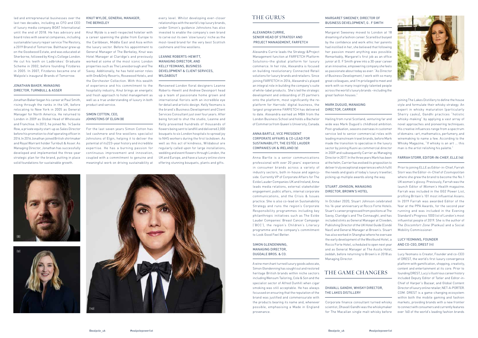led and entrepreneurial businesses over the last two decades, including as CFO and CEO of luxury media company BOAT International until the end of 2018. He has advisory and board roles with several companies, including sustainable luxury repair service The Restory, a 2019 Brand of Tomorrow. Balthazar grew up on the Goodwood Estate, and was educated at Sherborne, followed by King's College London. He cut his teeth on Ladbrokes' Graduate Scheme in 2002, before founding Fitzdares in 2005. In 2007, Fitzdares became one of Walpole's inaugural Brands of Tomorrow.

#### JONATHAN BAKER, MANAGING DIRECTOR, TURNBULL & ASSER

Jonathan Baker began his career at Paul Smith, rising through the ranks in the UK, before relocating to New York in 2005 as General Manager for North America. He returned to London in 2009 as Global Head of Wholesale and Franchise. In 2012, he joined No. 14 Savile Row, a private equity start-up as Sales Director before his promotion to chief operating officer in 2014.In 2016 Jonathan joined British shirtmaker and Royal Warrant holder Turnbull & Asser. As Managing Director, Jonathan has successfully developed and implemented the three-year strategic plan for the brand, putting in place solid foundations for sustainable growth.

#### SIMON COTTON, CEO JOHNSTONS OF ELGIN (8)

#### KNUT WYLDE, GENERAL MANAGER, THE BERKELEY

Knut Wylde is a well-respected hotelier with a career spanning the globe from Europe to the Caribbean, Middle East and Asia within the luxury sector. Before his appointment to General Manager of The Berkeley, Knut was Hotel Manager at Claridge's and previously worked at some of the most iconic London properties such as The Lanesborough and The Savoy. Additionally, he has held senior roles with One&Only Resorts, Rosewood Hotels, and the Dorchester Collection. With this wealth of experience and his commitment to the hospitality industry, Knut brings an energetic and fresh approach to hotel management as well as a true understanding of luxury in both product and service.

For the last seven years Simon Cotton has led cashmere and fine woollens specialist Johnstons of Elgin, helping it to deliver the potential of its223-year history and incredible expertise. He has a burning passion for continuous improvement and innovation, coupled with a commitment to genuine and meaningful work on driving sustainability at

every level. Whilst developing ever-closer relationships with the world's top luxury brands, under Simon's guidance Johnstons has also invested to enable the company's own brand to carve out its own 'slow luxury' niche as the most-loved brand for the very best Scottish cashmere and fine woollens.

#### SIMON GLENDENNING MANAGING DIRECTOR, DUGDALE BROS. & CO.

#### LEANNE ROBERTS-HEWITT, MANAGING DIRECTOR, AND KELLY YEOMANS, BUSINESS DEVELOPMENT & CLIENT SERVICES, WILDABOUT

Renowned London floral designers Leanne Roberts-Hewitt and Andrew Devonport head up a team of passionate home grown and international florists with an incredible eye for detail and artistic design. Kelly Yeomans is the brand's Business Development and Client Services Consultant just over four years. After being forced to shut the studio, Leanne and Kelly prevented hundreds of thousands of flowers being sent to landfill and delivered 2,000 bouquets to six London hospitals to spread joy to NHS workers during the first lockdown. As well as this act of kindness, Wildabout are regularly called upon for large installations, wedding and event flowers through London, the UK and Europe, and have a luxury online store offering stunning bouquets, plants and gifts.

# THE GURUS

#### ALEXANDRA CURRIE, SENIOR HEAD OF STRATEGY AND PROJECT MANAGEMENT, FARFETCH

Alexandra Currie leads the Strategy &Project Management function at FARFETCH Platform Solutions–the global platform for luxury commerce. In her role, Alexandra is focused on building revolutionary Connected Retail solutions for luxury brands and retailers. Since joining FARFETCH in 2016, Alexandra's played an integral role in building the company's suite of white-label products. She's led the strategic development and onboarding of 25 partners onto the platform, most significantly the replatform for Harrods' digital business, the largest programme FARFETCH has delivered to date. Alexandra earned an MBA from the London Business School and holds a Bachelor of Commerce from Queen's University, Canada.

#### ANNA BARTLE, VICE PRESIDENT CORPORATE AFFAIRS & CO-LEAD FOR SUSTAINABILITY, THE ESTÉE LAUDER COMPANIES UK & IRELAND (9)

Anna Bartle is a senior communications professional with over 20 years' experience in consumer brands across a variety of industry sectors, both in-house and agencyside. Currently VP of Corporate Affairs for The Estée Lauder Companies UK and Ireland, Anna leads media relations, external stakeholder engagement, public affairs, internal corporate communications, and the Crisis & Issues practice. She is also co-lead on Sustainability Strategy and runs the region's Corporate Responsibility programmes including key philanthropic initiatives such as The Estée Lauder Companies' Breast Cancer Campaign ('BCC'), the region's Children's Literacy programme and the company's commitment to Look Good Feel Better.

A wine merchant turned luxury goods advocate, Simon Glendenning has sought out and restored heritage British brands within niche sectors including Wensum Tailoring, Cole & Son and the specialist sector of Alfred Dunhill when cigar smoking was still acceptable. He has always focussed on ensuring that the reputation of the brand was justified and commensurate with the products bearing its name and, whenever possible, emphasising a Made in England provenance.

#### MARGARET SWEENEY, DIRECTOR OF BUSINESS DEVELOPMENT, G . F SMITH

Margaret Sweeney moved to London at 18 dreaming of a fashion career. Scared but buoyed by the confidence and work ethic her parents had instilled in her, she believed that following her passion meant anything was possible. Remarkably, Margaret's first job as an office junior at G. F Smith grew into a 30-year career at an innovative, empowering company she feels as passionate about today as ever: "As Director of Business Development, I work with so many great colleagues, and I'm privileged to meet and work with so many inspiringly talented people across the world's luxury brands –including the great fashion houses."

## MARK DUGUID, MANAGING DIRECTOR, CARRIER

Hailing from rural Scotland, venturing far and wide was Mark Duguid's childhood ambition. Post-graduation, seasons overseas in customer service led to senior commercial roles with leading mainstream travel brands, before Mark made the transition to specialise in the luxury sector by joining Kuoni as commercial director in 2009 and subsequently Carrier as Managing Director in 2017. In the three years Mark has been at the helm, Carrier has evolved its proposition to deliver truly exceptional experiences which fulfil the needs and goals of today's luxury traveller, picking up multiple awards along the way.

### STUART JOHNSON, MANAGING DIRECTOR, BROWN'S HOTEL

In October 2020, Stuart Johnson celebrated his 16-year anniversary at Rocco Forte Hotels. Stuart's career progressed from positions at The Savoy, Claridge's and The Connaught, and has included stints as General Manager at Cliveden, Publishing Director of the UK Hotel Guide (Condé Nast) and General Manager at Brown's. Stuart has also worked in Shanghai where he oversaw the early development of the Westbund Hotel, a Rocco Forte Hotel, scheduled to open next year and as General Manager at The Assila Hotel, Jeddah, before returning to Brown's in 2018 as Managing Director.

# THE GAME CHANGERS

#### DHAVALL GANDHI, WHISKY DIRECTOR, THE LAKES DISTILLERY

Corporate finance consultant turned whisky scientist, Dhavall Gandhi was the whiskymaker for The Macallan single malt whisky before

joining The Lakes Distillery to define the house style and formulate their whisky strategy. An expert in whisky maturation (particularly Sherry casks), Gandhi practices "holistic whisky-making" by applying a vast array of novel approaches and pioneering techniques. His creative influences range from a spectrum of domains –art, mathematics, perfumery, and winemaking to name a few. According to the Whisky Magazine, "If whisky is an art ... this man is the artist relishing his palette."

#### FARRAH STORR, EDITOR-IN-CHIEF, ELLE (10)

Prior to joining ELLE as Editor-in-Chief, Farrah Storr was the Editor-in-Chief of Cosmopolitan where she grew the brand to become the No.1 UK women's glossy. Previously, Farrah was the launch Editor of Women's Health magazine. Farrah was included in the GG2 Power List, profiling Britain's 101 most influential Asians. In 2019 Farrah was awarded Editor of the Year at the PPA Awards, for the second year running and was included in the Evening Standard's Progress 1000 list of London's most influential people of 2019. She is the author of The Discomfort Zone (Piatkus) and a Social Mobility Commissioner.

#### LUCY YEOMANS, FOUNDER AND CO-CEO, DREST (11)

Lucy Yeomans is Creator, Founder and co-CEO of DREST, the world's first luxury convergence platform with gamification, shopping, creativity, content and entertainment at its core. Prior to founding DREST, Lucy's illustrious career history included Deputy Editor of Tatler and Editor-in-Chief of Harper's Bazaar, and Global Content Director of luxury online retailer, NET-A-PORTER. COM. DREST is a game-changing ecosystem within both the mobile gaming and fashion markets, providing brands with a new frontier to connect with consumers and currently features over 160 of the world's leading fashion brands







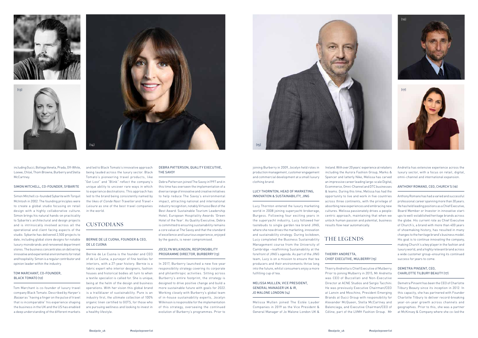including Gucci, Bottega Veneta, Prada, Off-White, Loewe, Chloé, Thom Browne, Burberry and Stella McCartney.

#### SIMON MITCHELL, CO-FOUNDER, SYBARITE

#### TOM MARCHANT, CO-FOUNDER BLACK TOMATO (12)

Simon Mitchell co-founded Sybarite with Torquil McIntosh in 2002. The founding principles were to create a global studio focusing on retail design with a highly collaborative culture. Simon brings his natural hands-on practicality to Sybarite's architectural and design projects and is intrinsically involved across all the operational and client facing aspects of the studio. Sybarite has delivered 2,500 projects to date, including global store designs for notable luxury monobrands and renowned department stores. The business concentrates on delivering innovative and experiential environments for retail and hospitality. Simon is a regular contributor and opinion leader within the industry.

Tom Marchant is co-founder of luxury travel company Black Tomato. Described by Harper's Bazaar as "having a finger on the pulse of travel that is incomparable" his experience shaping the business in the UK and the US has enabled a deep understanding of the different markets

and led to Black Tomato's innovative approach being lauded across the luxury sector. Black Tomato's pioneering travel products, like "Get Lost" and "Blink" reflect the company's unique ability to uncover rare ways in which to experience destinations. This approach has led to the brand being consistently named by the likes of Conde Nast Traveller and Travel + Leisure as one of the best travel companies in the world.

# CUSTODIANS

#### BERNIE DE LE CUONA, FOUNDER & CEO, DE LE CUONA

Bernie de Le Cuona is the founder and CEO of de Le Cuona, a purveyor of fine textiles for interiors, with a 27-year history. Bernie is a fabric expert who interior designers, fashion houses and historical bodies all turn to when a textile specialist is called for. She is unique, being at the helm of the design and business operations. With her vision this global brand is a trailblazer of sustainability. Pure is an industry first, the ultimate collection of 100% organic linen certified to GOTS, for those who are pursuing wellness and looking to invest in a healthy lifestyle.

#### DEBRA PATTERSON, QUALITY EXECUTIVE, THE SAVOY

Debra Patterson joined The Savoy in1997 and in this time has overseen the implementation of a diverse range of innovative and creative initiatives to help reduce The Savoy's environmental impact, attracting national and international industry recognition; notably Virtuoso Best of the Best Award: Sustainable Tourism Leadership Hotel; European Hospitality Awards 'Green Hotel of the Year'. As Quality Executive, Debra is committed to ensuring sustainability remains a core value at The Savoy and that the standard of excellence and luxurious experience, enjoyed by the guests, is never compromised.

#### JOCELYN WILKINSON, RESPONSIBILITY PROGRAMME DIRECTOR, BURBERRY (13)

In 2017, Burberry launched a new five-year responsibility strategy covering its corporate and philanthropic activities. Sitting across Burberry's entire footprint, the strategy is designed to drive positive change and build a more sustainable future with goals for 2022. Working closely with Burberry's global team of in-house sustainability experts, Jocelyn Wilkinson is responsible for the implementation of this strategy, overseeing the continued evolution of Burberry's programmes. Prior to

joining Burberry in 2009, Jocelyn held roles in production management, customer engagement and commercial development at a small luxury clothing brand.

#### LUCY THORNTON, HEAD OF MARKETING, INNOVATION & SUSTAINABILITY, JING

Lucy Thornton entered the luxury marketing world in 2008 joining superyacht brokerage, Burgess. Following four exciting years in the superyacht industry, Lucy followed her tastebuds to single garden tea brand JING, where she now drives the marketing, innovation and sustainability strategy. During lockdown, Lucy completed the Business Sustainability Management course from the University of Cambridge –reaffirming Sustainability at the forefront of JING's agenda. As part of the JING team, Lucy is on a mission to ensure that tea producers and their environments thrive long into the future, whilst consumers enjoy a more fulfilling cup of tea.

#### MELISSA MULLEN, VICE PRESIDENT, GENERAL MANAGER UK & IR, JO MALONE LONDON (14)

Melissa Mullen joined The Estée Lauder Companies in 2019 as the Vice President & General Manager of Jo Malone London UK &

Ireland. With over 20 years' experience at retailers including the Aurora Fashion Group, Marks & Spencer and latterly Nike, Melissa has carved an impressive career leading large-scale Digital, Ecommerce, Omni-Channel and DTC businesses & teams. During this time, Melissa has had the opportunity to live and work in five countries across three continents, with the privilege of absorbing new experiences and embracing new cultures. Melissa passionately drives a peoplecentric approach, maintaining that when we unlock human passion and potential, business results flow near automatically.

# THE LEGENDS

#### THIERRY ANDRETTA, CHIEF EXECUTIVE, MULBERRY (15)

Thierry Andretta is Chief Executive of Mulberry. Prior to joining Mulberry in 2015, Mr Andretta was CEO of Buccellati and Non-Executive Director at ACNE Studios and Sergio Tacchini. He was previously Executive Chairman/CEO at Lanvin and Moschino, President Emerging Brands at Gucci Group with responsibility for Alexander McQueen, Stella McCartney and Balenciaga, and Executive Chairman/CEO of Céline, part of the LVMH Fashion Group. Mr

Andretta has extensive experience across the luxury sector, with a focus on retail, digital, omni-channel and international expansion.

#### ANTHONY ROMANO, CEO, CHURCH'S (16)

Anthony Romano has had a varied and successful professional career spanning more than 30 years. He has held leading positions as a Chief Executive, Board Member or Investor in innovative startups to well-established heritage brands across the globe. His current role as Chief Executive of Church's, a brand with more than 400 years of shoemaking history, has resulted in many changes to the heritage brand's business model. His goal is to continue innovating the company, making Church's a key player in the fashion and luxury world, and a highly relevant brand across a wide customer group–ensuring its continued success for years to come.

#### DEMETRA PINSENT, CEO, CHARLOTTE TILBURY BEAUTY (17)

Demetra Pinsent has been the CEO of Charlotte Tilbury Beauty since its inception in 2012. In this capacity, she has partnered with Founder Charlotte Tilbury to deliver record-breaking year-on-year growth across channels and geographies. Prior to this, she was a partner at McKinsey & Company where she co-led the